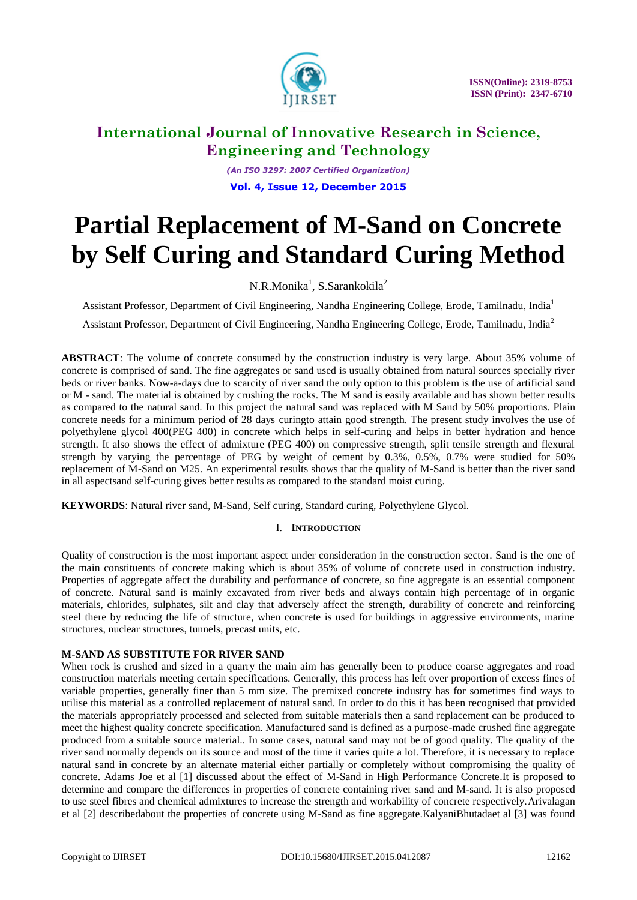

*(An ISO 3297: 2007 Certified Organization)* **Vol. 4, Issue 12, December 2015**

# **Partial Replacement of M-Sand on Concrete by Self Curing and Standard Curing Method**

N.R.Monika<sup>1</sup>, S.Sarankokila<sup>2</sup>

Assistant Professor, Department of Civil Engineering, Nandha Engineering College, Erode, Tamilnadu, India<sup>1</sup>

Assistant Professor, Department of Civil Engineering, Nandha Engineering College, Erode, Tamilnadu, India<sup>2</sup>

**ABSTRACT**: The volume of concrete consumed by the construction industry is very large. About 35% volume of concrete is comprised of sand. The fine aggregates or sand used is usually obtained from natural sources specially river beds or river banks. Now-a-days due to scarcity of river sand the only option to this problem is the use of artificial sand or M - sand. The material is obtained by crushing the rocks. The M sand is easily available and has shown better results as compared to the natural sand. In this project the natural sand was replaced with M Sand by 50% proportions. Plain concrete needs for a minimum period of 28 days curingto attain good strength. The present study involves the use of polyethylene glycol 400(PEG 400) in concrete which helps in self-curing and helps in better hydration and hence strength. It also shows the effect of admixture (PEG 400) on compressive strength, split tensile strength and flexural strength by varying the percentage of PEG by weight of cement by 0.3%, 0.5%, 0.7% were studied for 50% replacement of M-Sand on M25. An experimental results shows that the quality of M-Sand is better than the river sand in all aspectsand self-curing gives better results as compared to the standard moist curing.

**KEYWORDS**: Natural river sand, M-Sand, Self curing, Standard curing, Polyethylene Glycol.

### I. **INTRODUCTION**

Quality of construction is the most important aspect under consideration in the construction sector. Sand is the one of the main constituents of concrete making which is about 35% of volume of concrete used in construction industry. Properties of aggregate affect the durability and performance of concrete, so fine aggregate is an essential component of concrete. Natural sand is mainly excavated from river beds and always contain high percentage of in organic materials, chlorides, sulphates, silt and clay that adversely affect the strength, durability of concrete and reinforcing steel there by reducing the life of structure, when concrete is used for buildings in aggressive environments, marine structures, nuclear structures, tunnels, precast units, etc.

### **M-SAND AS SUBSTITUTE FOR RIVER SAND**

When rock is crushed and sized in a quarry the main aim has generally been to produce coarse aggregates and road construction materials meeting certain specifications. Generally, this process has left over proportion of excess fines of variable properties, generally finer than 5 mm size. The premixed concrete industry has for sometimes find ways to utilise this material as a controlled replacement of natural sand. In order to do this it has been recognised that provided the materials appropriately processed and selected from suitable materials then a sand replacement can be produced to meet the highest quality concrete specification. Manufactured sand is defined as a purpose-made crushed fine aggregate produced from a suitable source material.. In some cases, natural sand may not be of good quality. The quality of the river sand normally depends on its source and most of the time it varies quite a lot. Therefore, it is necessary to replace natural sand in concrete by an alternate material either partially or completely without compromising the quality of concrete. Adams Joe et al [1] discussed about the effect of M-Sand in High Performance Concrete.It is proposed to determine and compare the differences in properties of concrete containing river sand and M-sand. It is also proposed to use steel fibres and chemical admixtures to increase the strength and workability of concrete respectively.Arivalagan et al [2] describedabout the properties of concrete using M-Sand as fine aggregate.KalyaniBhutadaet al [3] was found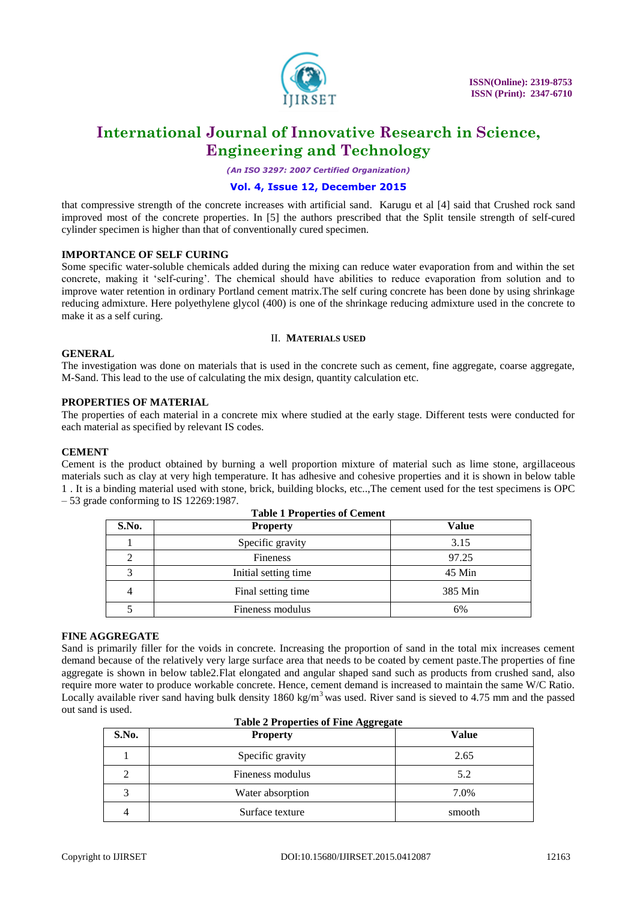

*(An ISO 3297: 2007 Certified Organization)*

#### **Vol. 4, Issue 12, December 2015**

that compressive strength of the concrete increases with artificial sand. Karugu et al [4] said that Crushed rock sand improved most of the concrete properties. In [5] the authors prescribed that the Split tensile strength of self-cured cylinder specimen is higher than that of conventionally cured specimen.

#### **IMPORTANCE OF SELF CURING**

Some specific water-soluble chemicals added during the mixing can reduce water evaporation from and within the set concrete, making it "self-curing". The chemical should have abilities to reduce evaporation from solution and to improve water retention in ordinary Portland cement matrix.The self curing concrete has been done by using shrinkage reducing admixture. Here polyethylene glycol (400) is one of the shrinkage reducing admixture used in the concrete to make it as a self curing.

#### II. **MATERIALS USED**

#### **GENERAL**

The investigation was done on materials that is used in the concrete such as cement, fine aggregate, coarse aggregate, M-Sand. This lead to the use of calculating the mix design, quantity calculation etc.

#### **PROPERTIES OF MATERIAL**

The properties of each material in a concrete mix where studied at the early stage. Different tests were conducted for each material as specified by relevant IS codes.

#### **CEMENT**

Cement is the product obtained by burning a well proportion mixture of material such as lime stone, argillaceous materials such as clay at very high temperature. It has adhesive and cohesive properties and it is shown in below table 1 . It is a binding material used with stone, brick, building blocks, etc..,The cement used for the test specimens is OPC – 53 grade conforming to IS 12269:1987.

| <b>Table 1 Properties of Cement</b> |                      |              |  |
|-------------------------------------|----------------------|--------------|--|
| S.No.                               | <b>Property</b>      | <b>Value</b> |  |
|                                     | Specific gravity     | 3.15         |  |
|                                     | Fineness             | 97.25        |  |
|                                     | Initial setting time | 45 Min       |  |
|                                     | Final setting time   | 385 Min      |  |
|                                     | Fineness modulus     | 6%           |  |

#### **FINE AGGREGATE**

Sand is primarily filler for the voids in concrete. Increasing the proportion of sand in the total mix increases cement demand because of the relatively very large surface area that needs to be coated by cement paste.The properties of fine aggregate is shown in below table2.Flat elongated and angular shaped sand such as products from crushed sand, also require more water to produce workable concrete. Hence, cement demand is increased to maintain the same W/C Ratio. Locally available river sand having bulk density 1860 kg/m<sup>3</sup> was used. River sand is sieved to 4.75 mm and the passed out sand is used.

| <b>Table 2 Properties of Fine Aggregate</b> |                  |              |  |  |
|---------------------------------------------|------------------|--------------|--|--|
| S.No.                                       | <b>Property</b>  | <b>Value</b> |  |  |
|                                             | Specific gravity | 2.65         |  |  |
|                                             | Fineness modulus | 5.2          |  |  |
|                                             | Water absorption | 7.0%         |  |  |
|                                             | Surface texture  | smooth       |  |  |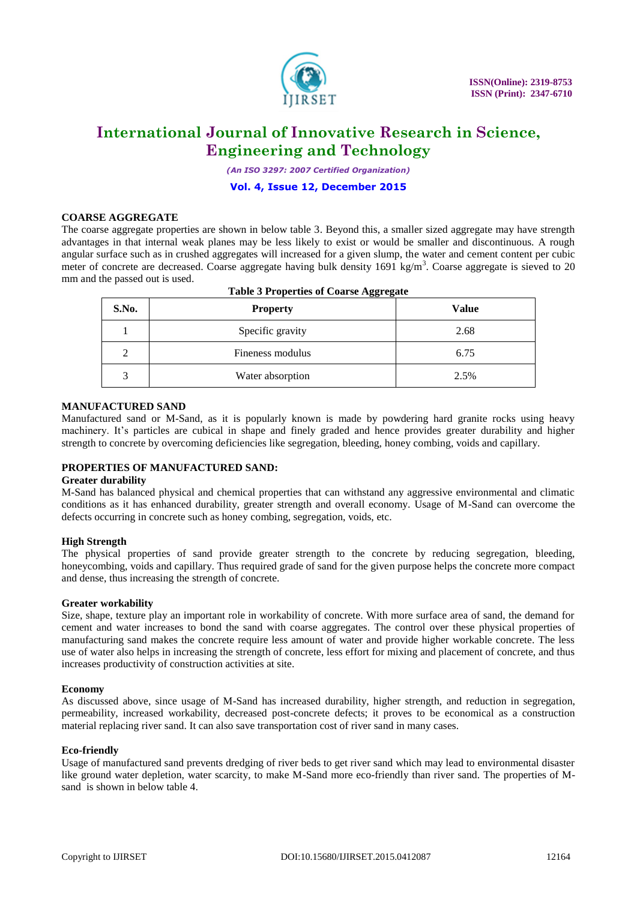

*(An ISO 3297: 2007 Certified Organization)*

**Vol. 4, Issue 12, December 2015**

#### **COARSE AGGREGATE**

The coarse aggregate properties are shown in below table 3. Beyond this, a smaller sized aggregate may have strength advantages in that internal weak planes may be less likely to exist or would be smaller and discontinuous. A rough angular surface such as in crushed aggregates will increased for a given slump, the water and cement content per cubic meter of concrete are decreased. Coarse aggregate having bulk density 1691 kg/m<sup>3</sup>. Coarse aggregate is sieved to 20 mm and the passed out is used.

| S.No. | <b>Property</b>  | Value |
|-------|------------------|-------|
|       | Specific gravity | 2.68  |
|       | Fineness modulus | 6.75  |
|       | Water absorption | 2.5%  |

### **Table 3 Properties of Coarse Aggregate**

#### **MANUFACTURED SAND**

Manufactured sand or M-Sand, as it is popularly known is made by powdering hard granite rocks using heavy machinery. It's particles are cubical in shape and finely graded and hence provides greater durability and higher strength to concrete by overcoming deficiencies like segregation, bleeding, honey combing, voids and capillary.

#### **PROPERTIES OF MANUFACTURED SAND:**

#### **Greater durability**

M-Sand has balanced physical and chemical properties that can withstand any aggressive environmental and climatic conditions as it has enhanced durability, greater strength and overall economy. Usage of M-Sand can overcome the defects occurring in concrete such as honey combing, segregation, voids, etc.

#### **High Strength**

The physical properties of sand provide greater strength to the concrete by reducing segregation, bleeding, honeycombing, voids and capillary. Thus required grade of sand for the given purpose helps the concrete more compact and dense, thus increasing the strength of concrete.

#### **Greater workability**

Size, shape, texture play an important role in workability of concrete. With more surface area of sand, the demand for cement and water increases to bond the sand with coarse aggregates. The control over these physical properties of manufacturing sand makes the concrete require less amount of water and provide higher workable concrete. The less use of water also helps in increasing the strength of concrete, less effort for mixing and placement of concrete, and thus increases productivity of construction activities at site.

#### **Economy**

As discussed above, since usage of M-Sand has increased durability, higher strength, and reduction in segregation, permeability, increased workability, decreased post-concrete defects; it proves to be economical as a construction material replacing river sand. It can also save transportation cost of river sand in many cases.

#### **Eco-friendly**

Usage of manufactured sand prevents dredging of river beds to get river sand which may lead to environmental disaster like ground water depletion, water scarcity, to make M-Sand more eco-friendly than river sand. The properties of Msand is shown in below table 4.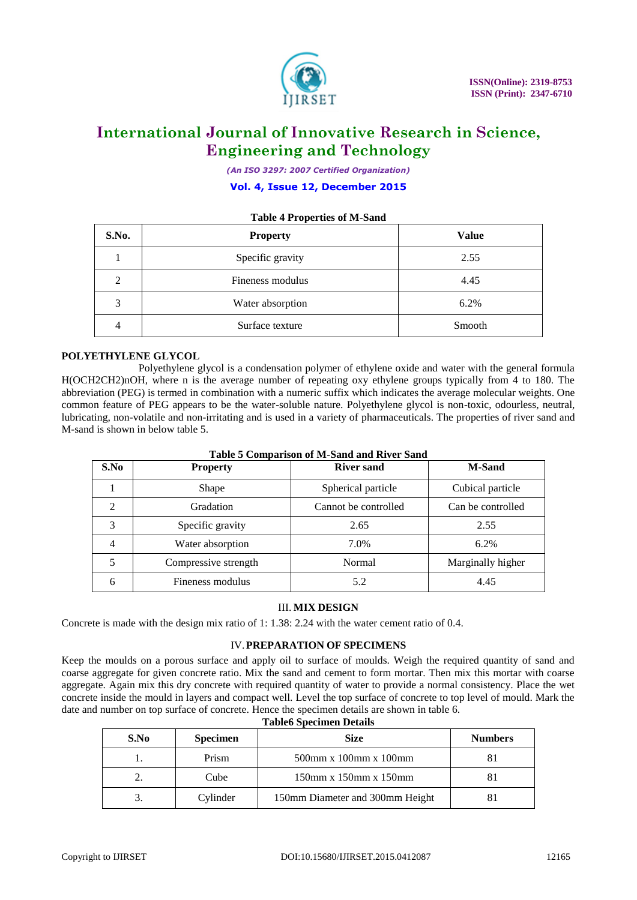

*(An ISO 3297: 2007 Certified Organization)*

#### **Vol. 4, Issue 12, December 2015**

# **Table 4 Properties of M-Sand S.No. Property Value** 1 Specific gravity 2.55 2 Fineness modulus 2 4.45 3 Water absorption 6.2% 4 Surface texture Smooth

#### **POLYETHYLENE GLYCOL**

Polyethylene glycol is a condensation polymer of ethylene oxide and water with the general formula H(OCH2CH2)nOH, where n is the average number of repeating oxy ethylene groups typically from 4 to 180. The abbreviation (PEG) is termed in combination with a numeric suffix which indicates the average molecular weights. One common feature of PEG appears to be the water-soluble nature. Polyethylene glycol is non-toxic, odourless, neutral, lubricating, non-volatile and non-irritating and is used in a variety of pharmaceuticals. The properties of river sand and M-sand is shown in below table 5.

| S.No           | <b>Property</b>      | <b>River sand</b>    | <b>M-Sand</b>     |
|----------------|----------------------|----------------------|-------------------|
|                | Shape                | Spherical particle   | Cubical particle  |
| 2              | Gradation            | Cannot be controlled | Can be controlled |
| 3              | Specific gravity     | 2.65                 | 2.55              |
| $\overline{4}$ | Water absorption     | 7.0%                 | 6.2%              |
| 5              | Compressive strength | Normal               | Marginally higher |
| 6              | Fineness modulus     | 5.2                  | 4.45              |

**Table 5 Comparison of M-Sand and River Sand**

#### III. **MIX DESIGN**

Concrete is made with the design mix ratio of 1: 1.38: 2.24 with the water cement ratio of 0.4.

#### IV.**PREPARATION OF SPECIMENS**

Keep the moulds on a porous surface and apply oil to surface of moulds. Weigh the required quantity of sand and coarse aggregate for given concrete ratio. Mix the sand and cement to form mortar. Then mix this mortar with coarse aggregate. Again mix this dry concrete with required quantity of water to provide a normal consistency. Place the wet concrete inside the mould in layers and compact well. Level the top surface of concrete to top level of mould. Mark the date and number on top surface of concrete. Hence the specimen details are shown in table 6.

| S.No | <b>Specimen</b> | <b>Size</b>                     | <b>Numbers</b> |
|------|-----------------|---------------------------------|----------------|
|      | Prism           | $500$ mm x $100$ mm x $100$ mm  |                |
|      | Cube            | $150$ mm x $150$ mm x $150$ mm  |                |
|      | Cylinder        | 150mm Diameter and 300mm Height |                |

|  | <b>Table6 Specimen Details</b> |  |
|--|--------------------------------|--|
|--|--------------------------------|--|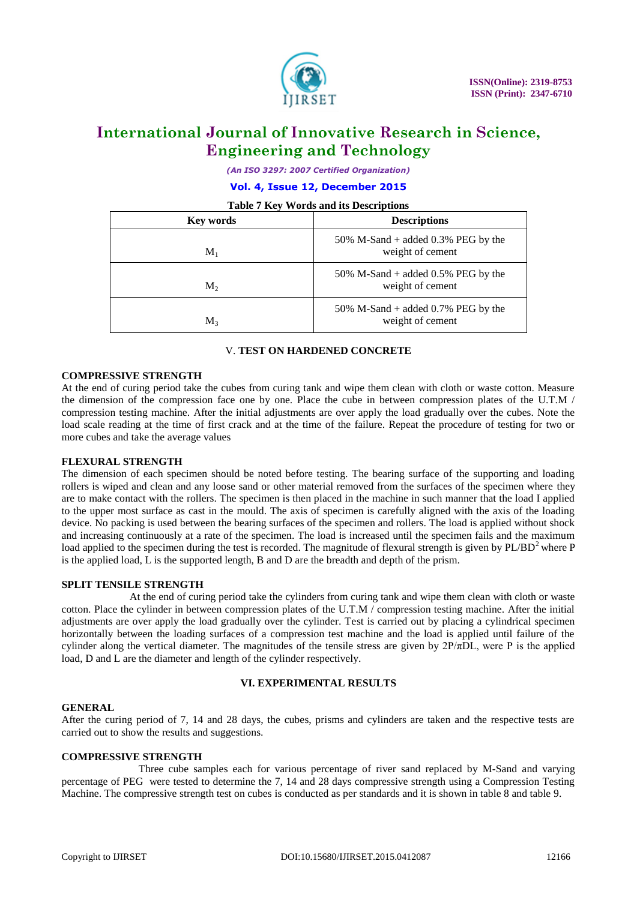

*(An ISO 3297: 2007 Certified Organization)*

**Vol. 4, Issue 12, December 2015**

**Table 7 Key Words and its Descriptions**

| <b>Key words</b> | <b>Descriptions</b>                                       |
|------------------|-----------------------------------------------------------|
| $\mathbf{M}_1$   | 50% M-Sand + added $0.3\%$ PEG by the<br>weight of cement |
| M <sub>2</sub>   | 50% M-Sand + added $0.5%$ PEG by the<br>weight of cement  |
| $M_{3}$          | 50% M-Sand + added 0.7% PEG by the<br>weight of cement    |

#### V. **TEST ON HARDENED CONCRETE**

#### **COMPRESSIVE STRENGTH**

At the end of curing period take the cubes from curing tank and wipe them clean with cloth or waste cotton. Measure the dimension of the compression face one by one. Place the cube in between compression plates of the U.T.M / compression testing machine. After the initial adjustments are over apply the load gradually over the cubes. Note the load scale reading at the time of first crack and at the time of the failure. Repeat the procedure of testing for two or more cubes and take the average values

#### **FLEXURAL STRENGTH**

The dimension of each specimen should be noted before testing. The bearing surface of the supporting and loading rollers is wiped and clean and any loose sand or other material removed from the surfaces of the specimen where they are to make contact with the rollers. The specimen is then placed in the machine in such manner that the load I applied to the upper most surface as cast in the mould. The axis of specimen is carefully aligned with the axis of the loading device. No packing is used between the bearing surfaces of the specimen and rollers. The load is applied without shock and increasing continuously at a rate of the specimen. The load is increased until the specimen fails and the maximum load applied to the specimen during the test is recorded. The magnitude of flexural strength is given by  $PL/BD^2$  where P is the applied load, L is the supported length, B and D are the breadth and depth of the prism.

#### **SPLIT TENSILE STRENGTH**

 At the end of curing period take the cylinders from curing tank and wipe them clean with cloth or waste cotton. Place the cylinder in between compression plates of the U.T.M / compression testing machine. After the initial adjustments are over apply the load gradually over the cylinder. Test is carried out by placing a cylindrical specimen horizontally between the loading surfaces of a compression test machine and the load is applied until failure of the cylinder along the vertical diameter. The magnitudes of the tensile stress are given by  $2P/\pi DL$ , were P is the applied load, D and L are the diameter and length of the cylinder respectively.

#### **VI. EXPERIMENTAL RESULTS**

#### **GENERAL**

After the curing period of 7, 14 and 28 days, the cubes, prisms and cylinders are taken and the respective tests are carried out to show the results and suggestions.

#### **COMPRESSIVE STRENGTH**

Three cube samples each for various percentage of river sand replaced by M-Sand and varying percentage of PEG were tested to determine the 7, 14 and 28 days compressive strength using a Compression Testing Machine. The compressive strength test on cubes is conducted as per standards and it is shown in table 8 and table 9.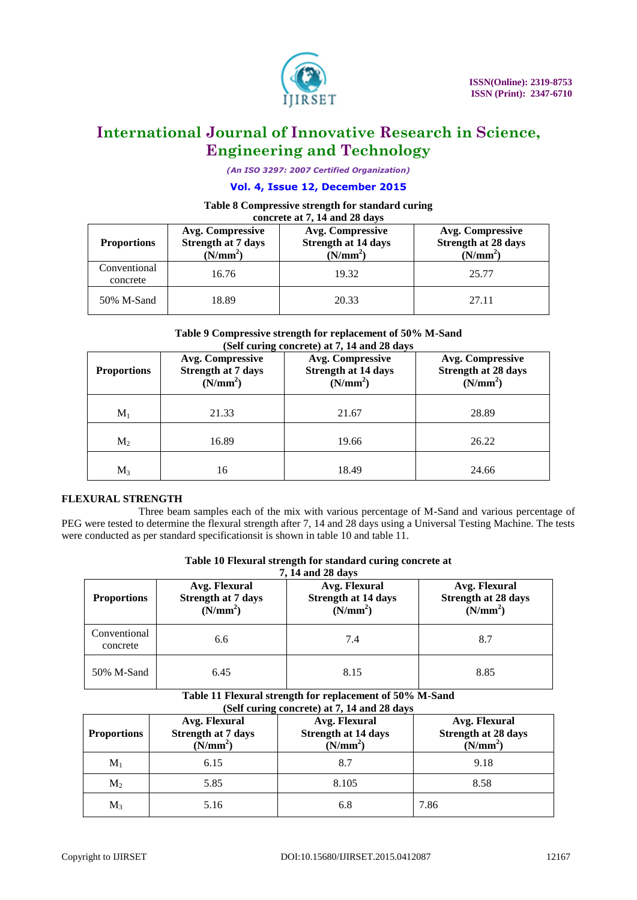

*(An ISO 3297: 2007 Certified Organization)*

#### **Vol. 4, Issue 12, December 2015**

#### **Table 8 Compressive strength for standard curing concrete at 7, 14 and 28 days**

| <b>Proportions</b>       | Avg. Compressive<br><b>Strength at 7 days</b><br>(N/mm <sup>2</sup> ) | Avg. Compressive<br><b>Strength at 14 days</b><br>(N/mm <sup>2</sup> ) | <b>Avg. Compressive</b><br><b>Strength at 28 days</b><br>(N/mm <sup>2</sup> ) |
|--------------------------|-----------------------------------------------------------------------|------------------------------------------------------------------------|-------------------------------------------------------------------------------|
| Conventional<br>concrete | 16.76                                                                 | 19.32                                                                  | 25.77                                                                         |
| 50% M-Sand               | 18.89                                                                 | 20.33                                                                  | 27.11                                                                         |

#### **Table 9 Compressive strength for replacement of 50% M-Sand (Self curing concrete) at 7, 14 and 28 days**

| <b>Proportions</b> | Avg. Compressive<br><b>Strength at 7 days</b><br>(N/mm <sup>2</sup> ) | Avg. Compressive<br><b>Strength at 14 days</b><br>(N/mm <sup>2</sup> ) | Avg. Compressive<br><b>Strength at 28 days</b><br>(N/mm <sup>2</sup> ) |
|--------------------|-----------------------------------------------------------------------|------------------------------------------------------------------------|------------------------------------------------------------------------|
| $M_1$              | 21.33                                                                 | 21.67                                                                  | 28.89                                                                  |
| $M_2$              | 16.89                                                                 | 19.66                                                                  | 26.22                                                                  |
| $M_3$              | 16                                                                    | 18.49                                                                  | 24.66                                                                  |

### **FLEXURAL STRENGTH**

Three beam samples each of the mix with various percentage of M-Sand and various percentage of PEG were tested to determine the flexural strength after 7, 14 and 28 days using a Universal Testing Machine. The tests were conducted as per standard specificationsit is shown in table 10 and table 11.

| Table 10 Flexural strength for standard curing concrete at |
|------------------------------------------------------------|
| $\overline{z}$ 11 $\overline{z}$ 10 $\overline{z}$         |

| <b>Proportions</b>       | Avg. Flexural<br><b>Strength at 7 days</b><br>(N/mm <sup>2</sup> ) | Avg. Flexural<br><b>Strength at 14 days</b><br>(N/mm <sup>2</sup> ) | Avg. Flexural<br><b>Strength at 28 days</b><br>(N/mm <sup>2</sup> ) |
|--------------------------|--------------------------------------------------------------------|---------------------------------------------------------------------|---------------------------------------------------------------------|
| Conventional<br>concrete | 6.6                                                                | 7.4                                                                 | 8.7                                                                 |
| 50% M-Sand               | 6.45                                                               | 8.15                                                                | 8.85                                                                |

#### **Table 11 Flexural strength for replacement of 50% M-Sand (Self curing concrete) at 7, 14 and 28 days**

| <b>Proportions</b> | Avg. Flexural<br><b>Strength at 7 days</b><br>(N/mm <sup>2</sup> ) | Avg. Flexural<br><b>Strength at 14 days</b><br>(N/mm <sup>2</sup> ) | Avg. Flexural<br><b>Strength at 28 days</b><br>(N/mm <sup>2</sup> ) |
|--------------------|--------------------------------------------------------------------|---------------------------------------------------------------------|---------------------------------------------------------------------|
| $\mathbf{M}_1$     | 6.15                                                               | 8.7                                                                 | 9.18                                                                |
| $M_2$              | 5.85                                                               | 8.105                                                               | 8.58                                                                |
| $M_3$              | 5.16                                                               | 6.8                                                                 | 7.86                                                                |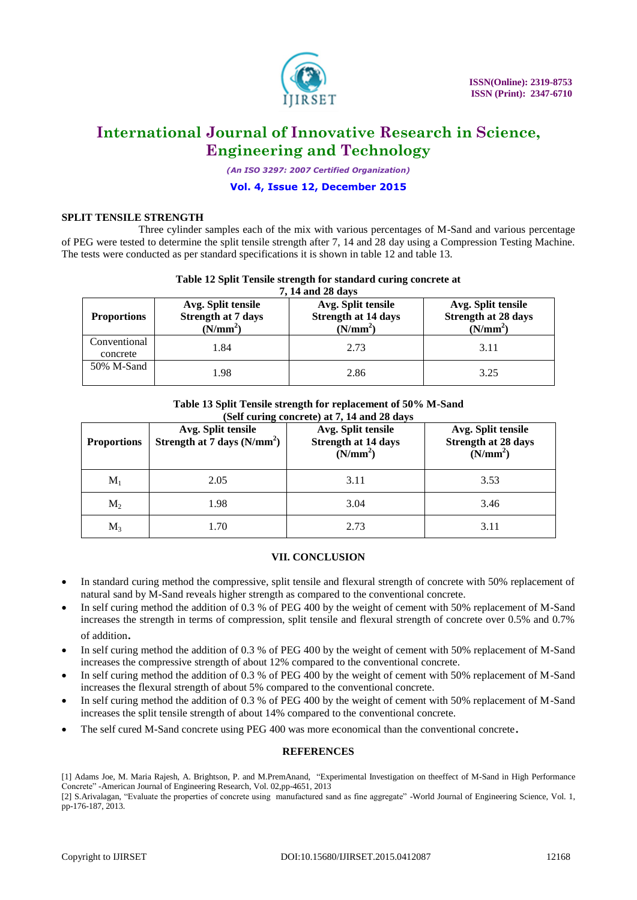

*(An ISO 3297: 2007 Certified Organization)*

#### **Vol. 4, Issue 12, December 2015**

#### **SPLIT TENSILE STRENGTH**

Three cylinder samples each of the mix with various percentages of M-Sand and various percentage of PEG were tested to determine the split tensile strength after 7, 14 and 28 day using a Compression Testing Machine. The tests were conducted as per standard specifications it is shown in table 12 and table 13.

#### **Table 12 Split Tensile strength for standard curing concrete at 7, 14 and 28 days**

| , 14 and 28 days         |                                                                         |                                                                          |                                                                   |  |  |
|--------------------------|-------------------------------------------------------------------------|--------------------------------------------------------------------------|-------------------------------------------------------------------|--|--|
| <b>Proportions</b>       | Avg. Split tensile<br><b>Strength at 7 days</b><br>(N/mm <sup>2</sup> ) | Avg. Split tensile<br><b>Strength at 14 days</b><br>(N/mm <sup>2</sup> ) | Avg. Split tensile<br>Strength at 28 days<br>(N/mm <sup>2</sup> ) |  |  |
| Conventional<br>concrete | 1.84                                                                    | 2.73                                                                     | 3.11                                                              |  |  |
| 50% M-Sand               | 1.98                                                                    | 2.86                                                                     | 3.25                                                              |  |  |

#### **Table 13 Split Tensile strength for replacement of 50% M-Sand (Self curing concrete) at 7, 14 and 28 days**

| <b>Proportions</b> | Avg. Split tensile<br>Strength at $7 \text{ days}$ (N/mm <sup>2</sup> ) | Avg. Split tensile<br><b>Strength at 14 days</b><br>(N/mm <sup>2</sup> ) | Avg. Split tensile<br><b>Strength at 28 days</b><br>(N/mm <sup>2</sup> ) |
|--------------------|-------------------------------------------------------------------------|--------------------------------------------------------------------------|--------------------------------------------------------------------------|
| $\mathbf{M}_1$     | 2.05                                                                    | 3.11                                                                     | 3.53                                                                     |
| $M_2$              | 1.98                                                                    | 3.04                                                                     | 3.46                                                                     |
| $M_3$              | .70                                                                     | 2.73                                                                     | 3.11                                                                     |

### **VII. CONCLUSION**

- In standard curing method the compressive, split tensile and flexural strength of concrete with 50% replacement of natural sand by M-Sand reveals higher strength as compared to the conventional concrete.
- In self curing method the addition of 0.3 % of PEG 400 by the weight of cement with 50% replacement of M-Sand increases the strength in terms of compression, split tensile and flexural strength of concrete over 0.5% and 0.7% of addition.
- In self curing method the addition of 0.3 % of PEG 400 by the weight of cement with 50% replacement of M-Sand increases the compressive strength of about 12% compared to the conventional concrete.
- In self curing method the addition of 0.3 % of PEG 400 by the weight of cement with 50% replacement of M-Sand increases the flexural strength of about 5% compared to the conventional concrete.
- In self curing method the addition of 0.3 % of PEG 400 by the weight of cement with 50% replacement of M-Sand increases the split tensile strength of about 14% compared to the conventional concrete.
- The self cured M-Sand concrete using PEG 400 was more economical than the conventional concrete.

#### **REFERENCES**

[2] S.Arivalagan, "Evaluate the properties of concrete using manufactured sand as fine aggregate" -World Journal of Engineering Science, Vol. 1, pp-176-187, 2013.

<sup>[1]</sup> Adams Joe, M. Maria Rajesh, A. Brightson, P. and M.PremAnand, "Experimental Investigation on theeffect of M-Sand in High Performance Concrete" -American Journal of Engineering Research, Vol. 02,pp-4651, 2013